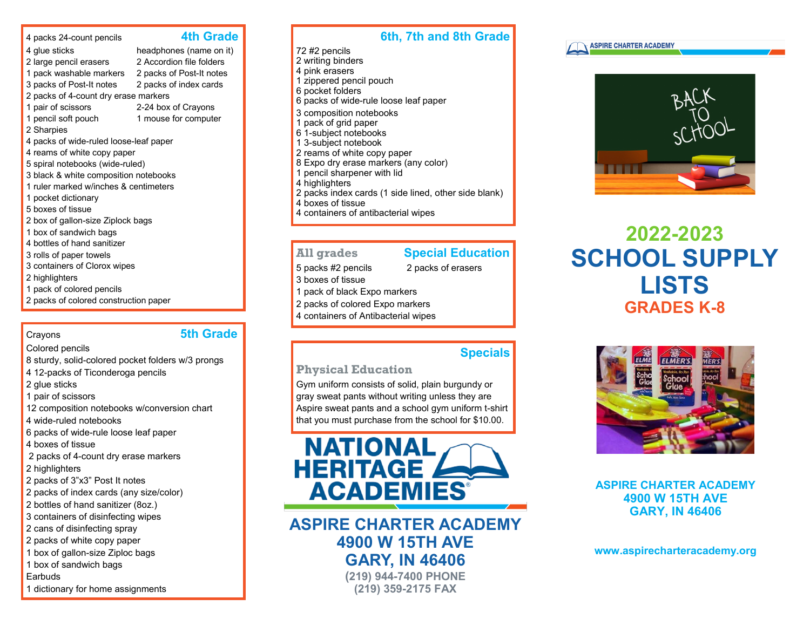## 4 packs 24-count pencils **4th Grade**

4 glue sticks headphones (name on it)

- 2 large pencil erasers 2 Accordion file folders
- 
- 1 pack washable markers 2 packs of Post-It notes
- 3 packs of Post-It notes 2 packs of index cards 2 packs of 4-count dry erase markers
- 1 pair of scissors 2-24 box of Crayons
- 1 pencil soft pouch 1 mouse for computer
- 2 Sharpies
- 4 packs of wide-ruled loose-leaf paper
- 4 reams of white copy paper
- 5 spiral notebooks (wide-ruled)
- 3 black & white composition notebooks
- 1 ruler marked w/inches & centimeters
- 1 pocket dictionary
- 5 boxes of tissue
- 2 box of gallon-size Ziplock bags
- 1 box of sandwich bags
- 4 bottles of hand sanitizer
- 3 rolls of paper towels
- 3 containers of Clorox wipes
- 2 highlighters
- 1 pack of colored pencils
- 2 packs of colored construction paper

## Crayons **5th Grade**

Colored pencils

8 sturdy, solid-colored pocket folders w/3 prongs

- 4 12-packs of Ticonderoga pencils
- 2 glue sticks
- 1 pair of scissors
- 12 composition notebooks w/conversion chart
- 4 wide-ruled notebooks
- 6 packs of wide-rule loose leaf paper
- 4 boxes of tissue
- 2 packs of 4-count dry erase markers
- 2 highlighters
- 2 packs of 3"x3" Post It notes
- 2 packs of index cards (any size/color)
- 2 bottles of hand sanitizer (8oz.)
- 3 containers of disinfecting wipes
- 2 cans of disinfecting spray
- 2 packs of white copy paper
- 1 box of gallon-size Ziploc bags
- 1 box of sandwich bags
- Earbuds 1 dictionary for home assignments

# **6th, 7th and 8th Grade**

72 #2 pencils 2 writing binders 4 pink erasers 1 zippered pencil pouch 6 pocket folders 6 packs of wide-rule loose leaf paper 3 composition notebooks 1 pack of grid paper 6 1-subject notebooks 1 3-subject notebook 2 reams of white copy paper 8 Expo dry erase markers (any color) 1 pencil sharpener with lid 4 highlighters 2 packs index cards (1 side lined, other side blank) 4 boxes of tissue 4 containers of antibacterial wipes

## **All grades Special Education**

- 5 packs #2 pencils 2 packs of erasers
- 3 boxes of tissue
- 1 pack of black Expo markers
- 2 packs of colored Expo markers
- 4 containers of Antibacterial wipes

## **Specials**

## **Physical Education**

Gym uniform consists of solid, plain burgundy or gray sweat pants without writing unless they are Aspire sweat pants and a school gym uniform t-shirt that you must purchase from the school for \$10.00.



**ASPIRE CHARTER ACADEMY 4900 W 15TH AVE GARY, IN 46406 (219) 944-7400 PHONE**

**(219) 359-2175 FAX**





# **2022-2023 SCHOOL SUPPLY LISTS GRADES K-8**



**ASPIRE CHARTER ACADEMY 4900 W 15TH AVE GARY, IN 46406**

**www.aspirecharteracademy.org**